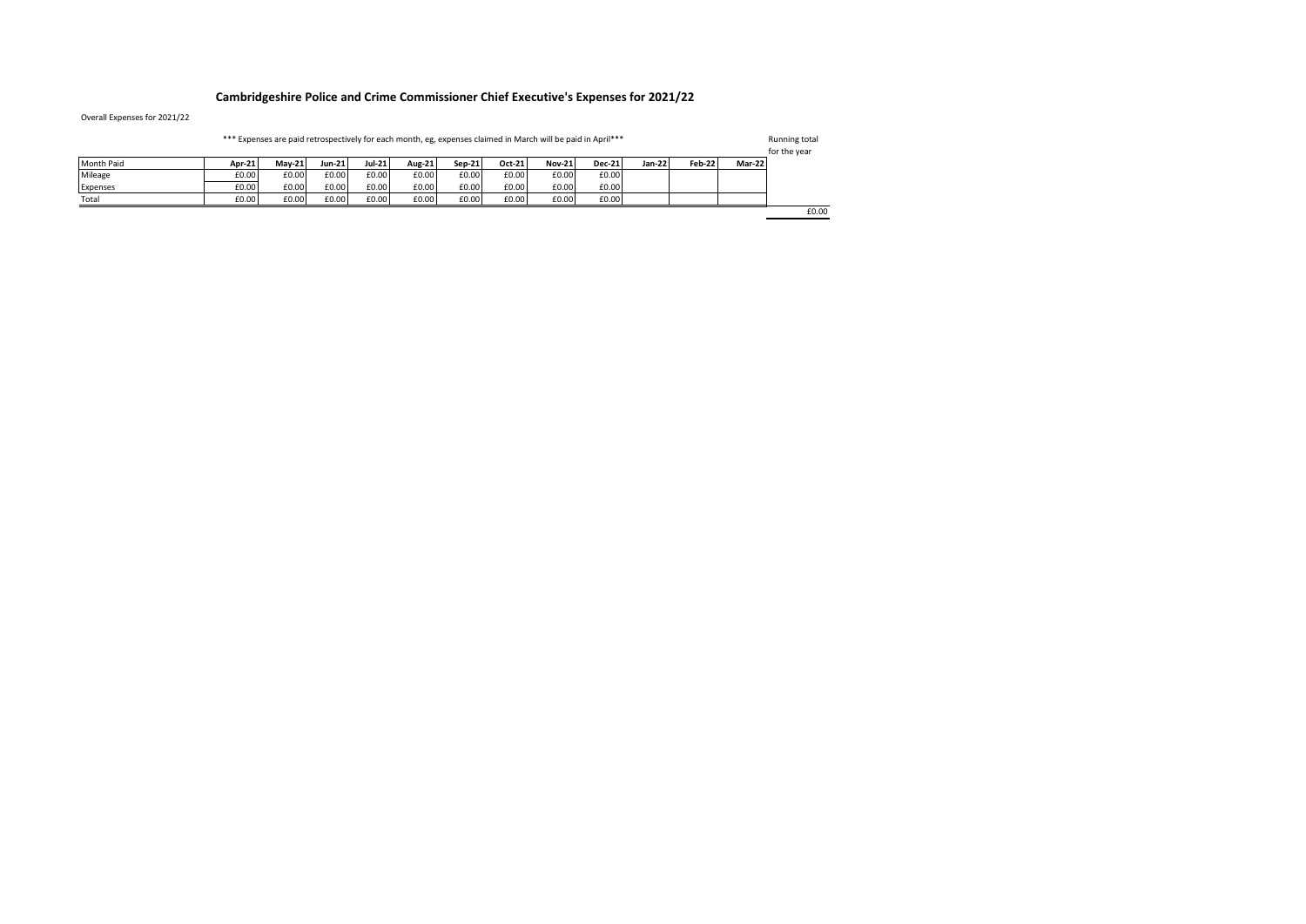## **Cambridgeshire Police and Crime Commissioner Chief Executive's Expenses for 2021/22**

Overall Expenses for 2021/22

| *** Expenses are paid retrospectively for each month, eg, expenses claimed in March will be paid in April*** |        |               |               |               |        |        |        |               |               |        | Running total<br>for the year |        |       |
|--------------------------------------------------------------------------------------------------------------|--------|---------------|---------------|---------------|--------|--------|--------|---------------|---------------|--------|-------------------------------|--------|-------|
| Month Paid                                                                                                   | Apr-21 | <b>Mav-21</b> | <b>Jun-21</b> | <b>Jul-21</b> | Aug-21 | Sep-21 | Oct-21 | <b>Nov-21</b> | <b>Dec-21</b> | Jan-22 | <b>Feb-22</b>                 | Mar-22 |       |
| Mileage                                                                                                      | £0.00  | £0.00         | £0.00         | £0.00         | £0.00  | £0.00  | £0.00  | £0.00         | £0.00         |        |                               |        |       |
| Expenses                                                                                                     | £0.00  | £0.00         | £0.00         | £0.00         | £0.00  | £0.00  | £0.00  | £0.00         | £0.00         |        |                               |        |       |
| Total                                                                                                        | £0.00  | £0.00         | £0.00         | £0.00         | £0.00  | £0.00  | £0.00  | £0.00         | £0.00         |        |                               |        |       |
|                                                                                                              |        |               |               |               |        |        |        |               |               |        |                               |        | £0.00 |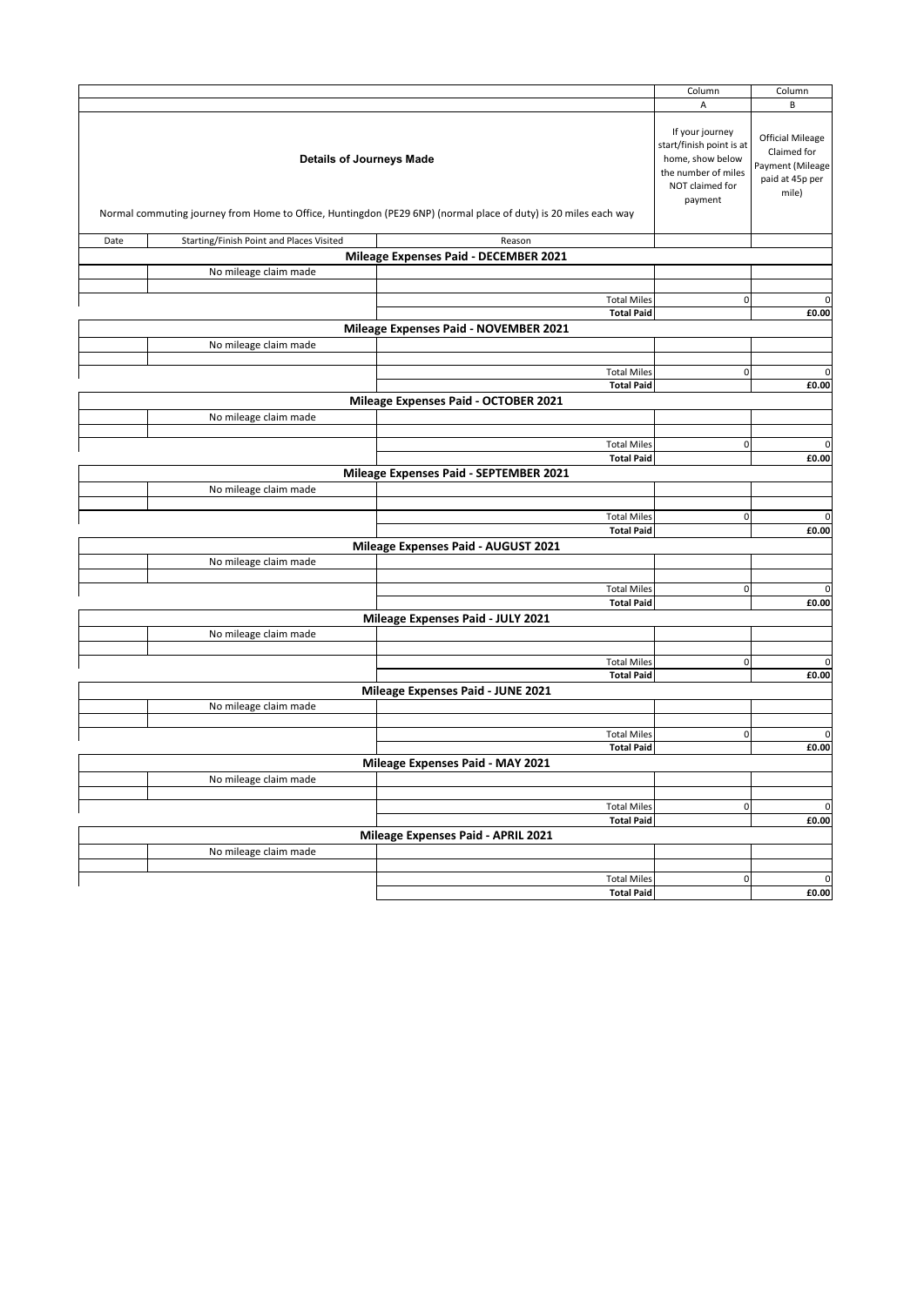|      |                                                                                                                      |                                                                                                                 | Column       | Column      |
|------|----------------------------------------------------------------------------------------------------------------------|-----------------------------------------------------------------------------------------------------------------|--------------|-------------|
|      |                                                                                                                      |                                                                                                                 | A            | B           |
|      | If your journey<br>start/finish point is at<br>home, show below<br>the number of miles<br>NOT claimed for<br>payment | <b>Official Mileage</b><br>Claimed for<br>Payment (Mileage<br>paid at 45p per<br>mile)                          |              |             |
|      |                                                                                                                      | Normal commuting journey from Home to Office, Huntingdon (PE29 6NP) (normal place of duty) is 20 miles each way |              |             |
| Date | Starting/Finish Point and Places Visited                                                                             | Reason                                                                                                          |              |             |
|      |                                                                                                                      | Mileage Expenses Paid - DECEMBER 2021                                                                           |              |             |
|      | No mileage claim made                                                                                                |                                                                                                                 |              |             |
|      |                                                                                                                      |                                                                                                                 |              |             |
|      |                                                                                                                      | <b>Total Miles</b>                                                                                              | $\mathsf 0$  | $\mathbf 0$ |
|      |                                                                                                                      | <b>Total Paid</b>                                                                                               |              | £0.00       |
|      |                                                                                                                      | Mileage Expenses Paid - NOVEMBER 2021                                                                           |              |             |
|      | No mileage claim made                                                                                                |                                                                                                                 |              |             |
|      |                                                                                                                      | <b>Total Miles</b>                                                                                              | $\pmb{0}$    | $\mathbf 0$ |
|      |                                                                                                                      | <b>Total Paid</b>                                                                                               |              | £0.00       |
|      |                                                                                                                      | Mileage Expenses Paid - OCTOBER 2021                                                                            |              |             |
|      |                                                                                                                      |                                                                                                                 |              |             |
|      | No mileage claim made                                                                                                |                                                                                                                 |              |             |
|      |                                                                                                                      | <b>Total Miles</b>                                                                                              | $\pmb{0}$    | $\mathbf 0$ |
|      |                                                                                                                      | <b>Total Paid</b>                                                                                               |              | £0.00       |
|      |                                                                                                                      | Mileage Expenses Paid - SEPTEMBER 2021                                                                          |              |             |
|      | No mileage claim made                                                                                                |                                                                                                                 |              |             |
|      |                                                                                                                      |                                                                                                                 |              |             |
|      |                                                                                                                      | <b>Total Miles</b>                                                                                              | $\pmb{0}$    | $\mathbf 0$ |
|      |                                                                                                                      | <b>Total Paid</b>                                                                                               |              | £0.00       |
|      |                                                                                                                      | Mileage Expenses Paid - AUGUST 2021                                                                             |              |             |
|      | No mileage claim made                                                                                                |                                                                                                                 |              |             |
|      |                                                                                                                      |                                                                                                                 |              |             |
|      |                                                                                                                      | <b>Total Miles</b>                                                                                              | $\pmb{0}$    | $\mathbf 0$ |
|      |                                                                                                                      | <b>Total Paid</b>                                                                                               |              | £0.00       |
|      |                                                                                                                      | Mileage Expenses Paid - JULY 2021                                                                               |              |             |
|      | No mileage claim made                                                                                                |                                                                                                                 |              |             |
|      |                                                                                                                      |                                                                                                                 |              |             |
|      |                                                                                                                      | <b>Total Miles</b>                                                                                              | $\mathsf{O}$ | $\mathbf 0$ |
|      |                                                                                                                      | <b>Total Paid</b>                                                                                               |              | £0.00       |
|      |                                                                                                                      | Mileage Expenses Paid - JUNE 2021                                                                               |              |             |
|      | No mileage claim made                                                                                                |                                                                                                                 |              |             |
|      |                                                                                                                      |                                                                                                                 |              |             |
|      |                                                                                                                      | <b>Total Miles</b>                                                                                              | $\pmb{0}$    | $\mathbf 0$ |
|      |                                                                                                                      | <b>Total Paid</b>                                                                                               |              | £0.00       |
|      |                                                                                                                      | Mileage Expenses Paid - MAY 2021                                                                                |              |             |
|      | No mileage claim made                                                                                                |                                                                                                                 |              |             |
|      |                                                                                                                      |                                                                                                                 |              |             |
|      |                                                                                                                      | <b>Total Miles</b>                                                                                              | $\pmb{0}$    | $\mathbf 0$ |
|      |                                                                                                                      | <b>Total Paid</b>                                                                                               |              | £0.00       |
|      |                                                                                                                      | Mileage Expenses Paid - APRIL 2021                                                                              |              |             |
|      | No mileage claim made                                                                                                |                                                                                                                 |              |             |
|      |                                                                                                                      |                                                                                                                 |              |             |
|      |                                                                                                                      | <b>Total Miles</b>                                                                                              | $\pmb{0}$    | $\mathbf 0$ |
|      |                                                                                                                      | <b>Total Paid</b>                                                                                               |              | £0.00       |